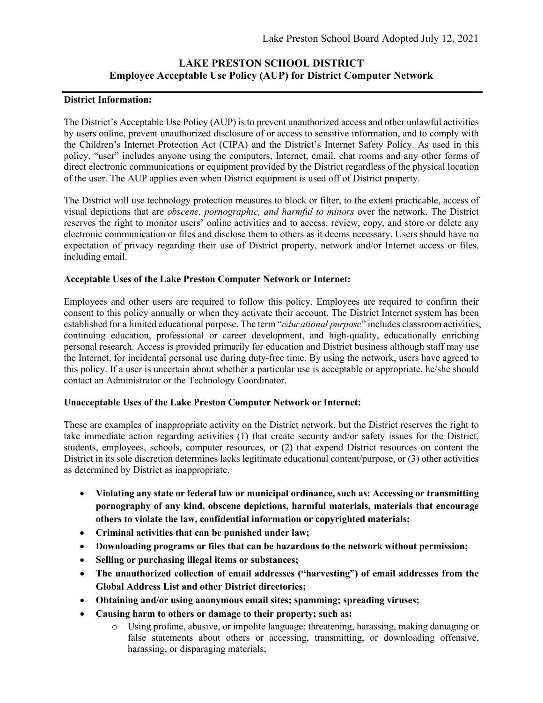# **LAKE PRESTON SCHOOL DISTRICT Employee Acceptable Use Policy (AUP) for District Computer Network**

### **District Information:**

The District's Acceptable Use Policy (AUP) is to prevent unauthorized access and other unlawful activities by users online, prevent unauthorized disclosure of or access to sensitive information, and to comply with the Children's Internet Protection Act (CIPA) and the District's Internet Safety Policy. As used in this policy, "user" includes anyone using the computers, Internet, email, chat rooms and any other forms of direct electronic communications or equipment provided by the District regardless of the physical location of the user. The AUP applies even when District equipment is used off of District property.

The District will use technology protection measures to block or filter, to the extent practicable, access of visual depictions that are *obscene, pornographic, and harmful to minors* over the network. The District reserves the right to monitor users' online activities and to access, review, copy, and store or delete any electronic communication or files and disclose them to others as it deems necessary. Users should have no expectation of privacy regarding their use of District property, network and/or Internet access or files, including email.

## **Acceptable Uses of the Lake Preston Computer Network or Internet:**

Employees and other users are required to follow this policy. Employees are required to confirm their consent to this policy annually or when they activate their account. The District Internet system has been established for a limited educational purpose. The term "*educational purpose*" includes classroom activities, continuing education, professional or career development, and high-quality, educationally enriching personal research. Access is provided primarily for education and District business although staff may use the Internet, for incidental personal use during duty-free time. By using the network, users have agreed to this policy. If a user is uncertain about whether a particular use is acceptable or appropriate, he/she should contact an Administrator or the Technology Coordinator.

## **Unacceptable Uses of the Lake Preston Computer Network or Internet:**

These are examples of inappropriate activity on the District network, but the District reserves the right to take immediate action regarding activities (1) that create security and/or safety issues for the District, students, employees, schools, computer resources, or (2) that expend District resources on content the District in its sole discretion determines lacks legitimate educational content/purpose, or (3) other activities as determined by District as inappropriate.

- **Violating any state or federal law or municipal ordinance, such as: Accessing or transmitting pornography of any kind, obscene depictions, harmful materials, materials that encourage others to violate the law, confidential information or copyrighted materials;**
- **Criminal activities that can be punished under law;**
- **Downloading programs or files that can be hazardous to the network without permission;**
- **Selling or purchasing illegal items or substances;**
- **The unauthorized collection of email addresses ("harvesting") of email addresses from the Global Address List and other District directories;**
- **Obtaining and/or using anonymous email sites; spamming; spreading viruses;**
- **Causing harm to others or damage to their property; such as:**
	- o Using profane, abusive, or impolite language; threatening, harassing, making damaging or false statements about others or accessing, transmitting, or downloading offensive, harassing, or disparaging materials;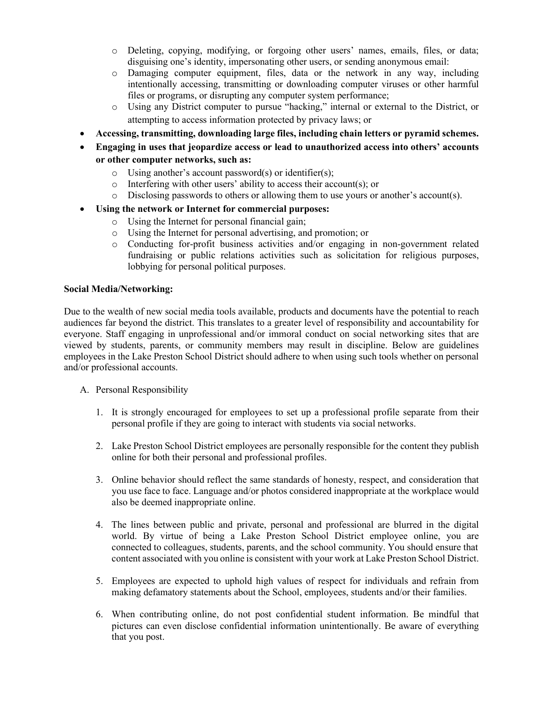- o Deleting, copying, modifying, or forgoing other users' names, emails, files, or data; disguising one's identity, impersonating other users, or sending anonymous email:
- o Damaging computer equipment, files, data or the network in any way, including intentionally accessing, transmitting or downloading computer viruses or other harmful files or programs, or disrupting any computer system performance;
- o Using any District computer to pursue "hacking," internal or external to the District, or attempting to access information protected by privacy laws; or
- **Accessing, transmitting, downloading large files, including chain letters or pyramid schemes.**
- **Engaging in uses that jeopardize access or lead to unauthorized access into others' accounts or other computer networks, such as:**
	- o Using another's account password(s) or identifier(s);
	- $\circ$  Interfering with other users' ability to access their account(s); or
	- o Disclosing passwords to others or allowing them to use yours or another's account(s).
- **Using the network or Internet for commercial purposes:**
	- o Using the Internet for personal financial gain;
	- o Using the Internet for personal advertising, and promotion; or
	- o Conducting for-profit business activities and/or engaging in non-government related fundraising or public relations activities such as solicitation for religious purposes, lobbying for personal political purposes.

#### **Social Media/Networking:**

Due to the wealth of new social media tools available, products and documents have the potential to reach audiences far beyond the district. This translates to a greater level of responsibility and accountability for everyone. Staff engaging in unprofessional and/or immoral conduct on social networking sites that are viewed by students, parents, or community members may result in discipline. Below are guidelines employees in the Lake Preston School District should adhere to when using such tools whether on personal and/or professional accounts.

- A. Personal Responsibility
	- 1. It is strongly encouraged for employees to set up a professional profile separate from their personal profile if they are going to interact with students via social networks.
	- 2. Lake Preston School District employees are personally responsible for the content they publish online for both their personal and professional profiles.
	- 3. Online behavior should reflect the same standards of honesty, respect, and consideration that you use face to face. Language and/or photos considered inappropriate at the workplace would also be deemed inappropriate online.
	- 4. The lines between public and private, personal and professional are blurred in the digital world. By virtue of being a Lake Preston School District employee online, you are connected to colleagues, students, parents, and the school community. You should ensure that content associated with you online is consistent with your work at Lake Preston School District.
	- 5. Employees are expected to uphold high values of respect for individuals and refrain from making defamatory statements about the School, employees, students and/or their families.
	- 6. When contributing online, do not post confidential student information. Be mindful that pictures can even disclose confidential information unintentionally. Be aware of everything that you post.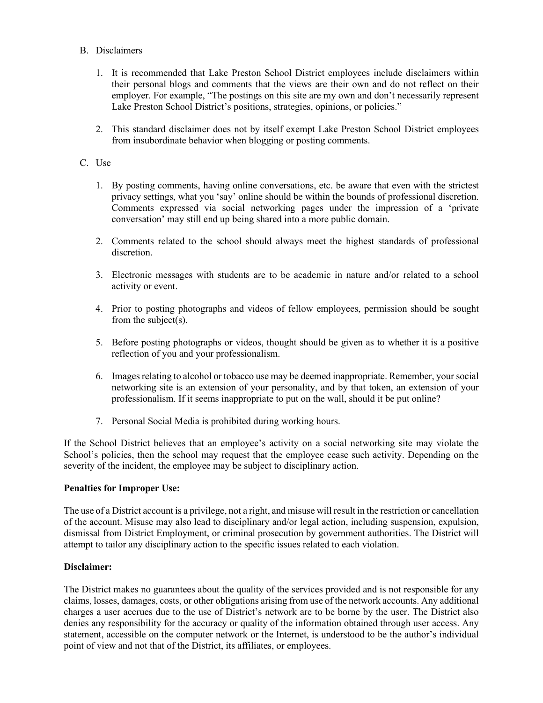#### B. Disclaimers

- 1. It is recommended that Lake Preston School District employees include disclaimers within their personal blogs and comments that the views are their own and do not reflect on their employer. For example, "The postings on this site are my own and don't necessarily represent Lake Preston School District's positions, strategies, opinions, or policies."
- 2. This standard disclaimer does not by itself exempt Lake Preston School District employees from insubordinate behavior when blogging or posting comments.

### C. Use

- 1. By posting comments, having online conversations, etc. be aware that even with the strictest privacy settings, what you 'say' online should be within the bounds of professional discretion. Comments expressed via social networking pages under the impression of a 'private conversation' may still end up being shared into a more public domain.
- 2. Comments related to the school should always meet the highest standards of professional discretion.
- 3. Electronic messages with students are to be academic in nature and/or related to a school activity or event.
- 4. Prior to posting photographs and videos of fellow employees, permission should be sought from the subject(s).
- 5. Before posting photographs or videos, thought should be given as to whether it is a positive reflection of you and your professionalism.
- 6. Images relating to alcohol or tobacco use may be deemed inappropriate. Remember, your social networking site is an extension of your personality, and by that token, an extension of your professionalism. If it seems inappropriate to put on the wall, should it be put online?
- 7. Personal Social Media is prohibited during working hours.

If the School District believes that an employee's activity on a social networking site may violate the School's policies, then the school may request that the employee cease such activity. Depending on the severity of the incident, the employee may be subject to disciplinary action.

#### **Penalties for Improper Use:**

The use of a District account is a privilege, not a right, and misuse will result in the restriction or cancellation of the account. Misuse may also lead to disciplinary and/or legal action, including suspension, expulsion, dismissal from District Employment, or criminal prosecution by government authorities. The District will attempt to tailor any disciplinary action to the specific issues related to each violation.

#### **Disclaimer:**

The District makes no guarantees about the quality of the services provided and is not responsible for any claims, losses, damages, costs, or other obligations arising from use of the network accounts. Any additional charges a user accrues due to the use of District's network are to be borne by the user. The District also denies any responsibility for the accuracy or quality of the information obtained through user access. Any statement, accessible on the computer network or the Internet, is understood to be the author's individual point of view and not that of the District, its affiliates, or employees.